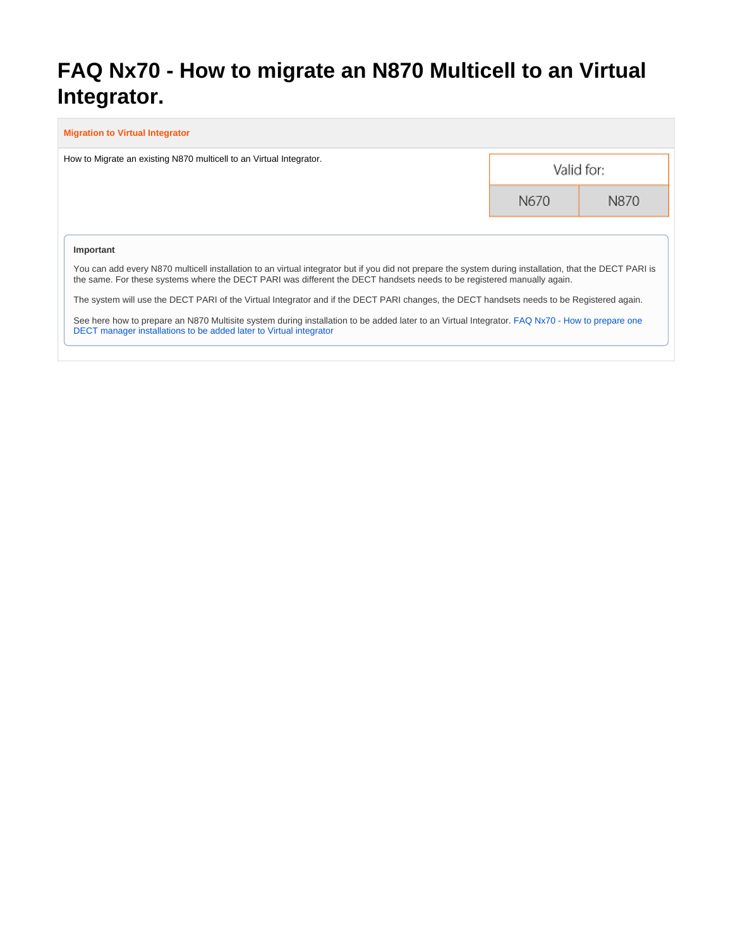## **FAQ Nx70 - How to migrate an N870 Multicell to an Virtual Integrator.**

| <b>Migration to Virtual Integrator</b>                                                                                                                                                                                                                                                                                                                                                                                                                                                                                                                                                                                                                              |            |      |  |  |  |  |  |  |
|---------------------------------------------------------------------------------------------------------------------------------------------------------------------------------------------------------------------------------------------------------------------------------------------------------------------------------------------------------------------------------------------------------------------------------------------------------------------------------------------------------------------------------------------------------------------------------------------------------------------------------------------------------------------|------------|------|--|--|--|--|--|--|
| How to Migrate an existing N870 multicell to an Virtual Integrator.                                                                                                                                                                                                                                                                                                                                                                                                                                                                                                                                                                                                 | Valid for: |      |  |  |  |  |  |  |
|                                                                                                                                                                                                                                                                                                                                                                                                                                                                                                                                                                                                                                                                     | N670       | N870 |  |  |  |  |  |  |
| Important<br>You can add every N870 multicell installation to an virtual integrator but if you did not prepare the system during installation, that the DECT PARI is<br>the same. For these systems where the DECT PARI was different the DECT handsets needs to be registered manually again.<br>The system will use the DECT PARI of the Virtual Integrator and if the DECT PARI changes, the DECT handsets needs to be Registered again.<br>See here how to prepare an N870 Multisite system during installation to be added later to an Virtual Integrator. FAQ Nx70 - How to prepare one<br>DECT manager installations to be added later to Virtual integrator |            |      |  |  |  |  |  |  |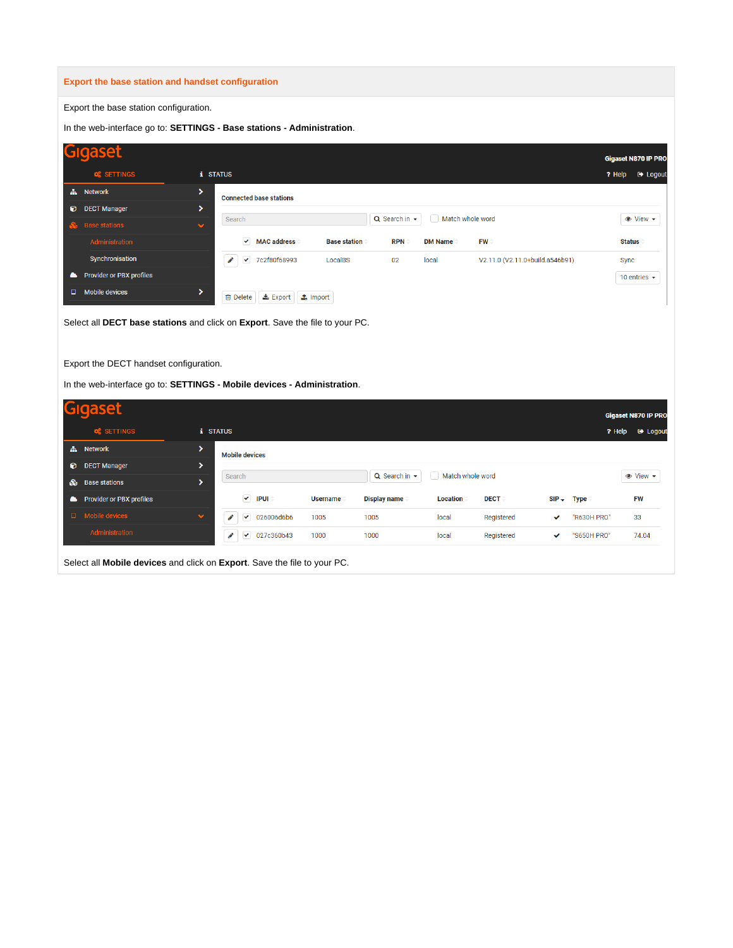## **Export the base station and handset configuration**

Export the base station configuration.

In the web-interface go to: **SETTINGS - Base stations - Administration**.

|           | Giqaset                    |           |                                                                      |                     |                      |                  |                                 |        | Gigaset N870 IP PRO    |
|-----------|----------------------------|-----------|----------------------------------------------------------------------|---------------------|----------------------|------------------|---------------------------------|--------|------------------------|
|           | <b>Q</b> SETTINGS          |           | <b>i</b> STATUS                                                      |                     |                      |                  |                                 | ? Help | <b>■ Logout</b>        |
|           | <b>A</b> Network           | >         | <b>Connected base stations</b>                                       |                     |                      |                  |                                 |        |                        |
| $\bullet$ | <b>DECT Manager</b>        | ゝ         |                                                                      |                     | $Q$ Search in $\sim$ | Match whole word |                                 |        |                        |
|           | <b>&amp;</b> Base stations | $\bullet$ | Search                                                               |                     |                      |                  |                                 |        | $\bullet$ View $\star$ |
|           | Administration             |           | <b>MAC address</b><br>$\checkmark$                                   | <b>Base station</b> | <b>RPN</b>           | <b>DM Name</b>   | <b>FW</b>                       |        | <b>Status</b>          |
|           | Synchronisation            |           | 7c2f80f68993<br><b>CONTRACT</b><br>$\checkmark$                      | LocalBS             | 02                   | local            | V2.11.0 (V2.11.0+build.a546b91) |        | Sync                   |
| $\bullet$ | Provider or PBX profiles   |           |                                                                      |                     |                      |                  |                                 |        | 10 entries $\sim$      |
| $\Box$    | <b>Mobile devices</b>      | ×         | $\triangle$ Export $\parallel$ $\triangle$ Import<br><b>自</b> Delete |                     |                      |                  |                                 |        |                        |

Select all **DECT base stations** and click on **Export**. Save the file to your PC.

Export the DECT handset configuration.

In the web-interface go to: **SETTINGS - Mobile devices - Administration**.

|           | gaset                           |           |                                                 |                 |                                          |          |             |   |              | <b>Gigaset N870 IP PRO</b> |  |
|-----------|---------------------------------|-----------|-------------------------------------------------|-----------------|------------------------------------------|----------|-------------|---|--------------|----------------------------|--|
|           | <b>Q</b> SETTINGS               |           | <b>i</b> STATUS                                 |                 |                                          |          |             |   |              | ? Help<br><b>■ Logout</b>  |  |
|           | <b>A</b> Network                | ⋗         | <b>Mobile devices</b>                           |                 |                                          |          |             |   |              |                            |  |
| $\bullet$ | <b>DECT Manager</b>             | ⋗.        |                                                 |                 |                                          |          |             |   |              |                            |  |
|           | <b>&amp;</b> Base stations      |           | Search                                          |                 | $Q$ Search in $\sim$<br>Match whole word |          |             |   |              | $\bullet$ View $\sim$      |  |
| $\bullet$ | <b>Provider or PBX profiles</b> |           | $\vee$ IPUI                                     | <b>Username</b> | <b>Display name</b>                      | Location | <b>DECT</b> |   | $SIP - Type$ | <b>FW</b>                  |  |
|           | $\Box$ Mobile devices           | $\bullet$ | <b>SALE</b><br>026006d6b6<br>$\checkmark$       | 1005            | 1005                                     | local    | Registered  | ✓ | "R630H PRO"  | 33                         |  |
|           | Administration                  |           | <b>CONTRACTOR</b><br>027c360b43<br>$\checkmark$ | 1000            | 1000                                     | local    | Registered  | ✓ | "S650H PRO"  | 74.04                      |  |
|           |                                 |           |                                                 |                 |                                          |          |             |   |              |                            |  |

Select all **Mobile devices** and click on **Export**. Save the file to your PC.